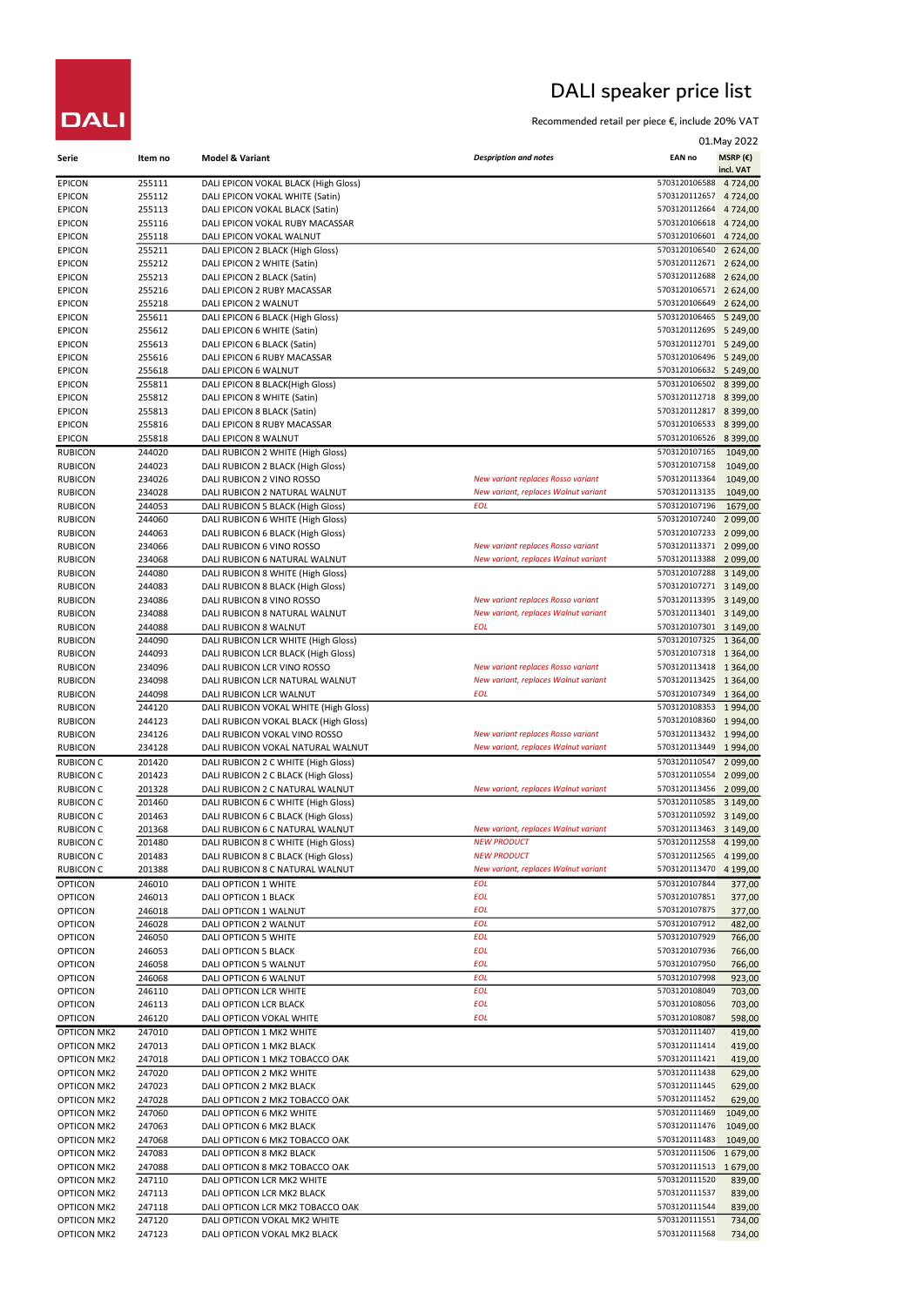## DALI speaker price list

Recommended retail per piece €, include 20% VAT

|                                          |                  |                                                                                |                                                                            |                                         | 01. May 2022               |
|------------------------------------------|------------------|--------------------------------------------------------------------------------|----------------------------------------------------------------------------|-----------------------------------------|----------------------------|
| Serie                                    | Item no          | <b>Model &amp; Variant</b>                                                     | <b>Despription and notes</b>                                               | <b>EAN no</b>                           | MSRP $(E)$                 |
| <b>EPICON</b>                            | 255111           | DALI EPICON VOKAL BLACK (High Gloss)                                           |                                                                            | 5703120106588                           | incl. VAT<br>4 7 2 4 , 0 0 |
| <b>EPICON</b>                            | 255112           | DALI EPICON VOKAL WHITE (Satin)                                                |                                                                            | 5703120112657                           | 4 7 2 4 , 0 0              |
| <b>EPICON</b>                            | 255113           | DALI EPICON VOKAL BLACK (Satin)                                                |                                                                            | 5703120112664                           | 4 7 24,00                  |
| <b>EPICON</b>                            | 255116           | DALI EPICON VOKAL RUBY MACASSAR                                                |                                                                            | 5703120106618<br>5703120106601          | 4 7 2 4 , 0 0              |
| <b>EPICON</b><br><b>EPICON</b>           | 255118<br>255211 | DALI EPICON VOKAL WALNUT<br>DALI EPICON 2 BLACK (High Gloss)                   |                                                                            | 5703120106540                           | 4 7 2 4 , 0 0<br>2 624,00  |
| <b>EPICON</b>                            | 255212           | DALI EPICON 2 WHITE (Satin)                                                    |                                                                            | 5703120112671                           | 2 624,00                   |
| <b>EPICON</b>                            | 255213           | DALI EPICON 2 BLACK (Satin)                                                    |                                                                            | 5703120112688                           | 2 624,00                   |
| <b>EPICON</b>                            | 255216           | DALI EPICON 2 RUBY MACASSAR                                                    |                                                                            | 5703120106571                           | 2 624,00                   |
| <b>EPICON</b><br><b>EPICON</b>           | 255218<br>255611 | DALI EPICON 2 WALNUT<br>DALI EPICON 6 BLACK (High Gloss)                       |                                                                            | 5703120106649<br>5703120106465          | 2 624,00<br>5 2 4 9 , 0 0  |
| <b>EPICON</b>                            | 255612           | DALI EPICON 6 WHITE (Satin)                                                    |                                                                            | 5703120112695                           | 5 2 4 9 , 0 0              |
| <b>EPICON</b>                            | 255613           | DALI EPICON 6 BLACK (Satin)                                                    |                                                                            | 5703120112701                           | 5 249,00                   |
| <b>EPICON</b>                            | 255616           | DALI EPICON 6 RUBY MACASSAR                                                    |                                                                            | 5703120106496                           | 5 2 4 9 , 0 0              |
| <b>EPICON</b>                            | 255618           | DALI EPICON 6 WALNUT                                                           |                                                                            | 5703120106632 5 249,00                  |                            |
| <b>EPICON</b><br><b>EPICON</b>           | 255811<br>255812 | DALI EPICON 8 BLACK(High Gloss)<br>DALI EPICON 8 WHITE (Satin)                 |                                                                            | 5703120106502<br>5703120112718 8 399,00 | 8 3 9 9 , 0 0              |
| <b>EPICON</b>                            | 255813           | DALI EPICON 8 BLACK (Satin)                                                    |                                                                            | 5703120112817 8 399,00                  |                            |
| <b>EPICON</b>                            | 255816           | DALI EPICON 8 RUBY MACASSAR                                                    |                                                                            | 5703120106533                           | 8 3 9 9 , 0 0              |
| <b>EPICON</b>                            | 255818           | DALI EPICON 8 WALNUT                                                           |                                                                            | 5703120106526                           | 8 3 9 9 , 0 0              |
| <b>RUBICON</b>                           | 244020           | DALI RUBICON 2 WHITE (High Gloss)                                              |                                                                            | 5703120107165                           | 1049,00                    |
| <b>RUBICON</b><br><b>RUBICON</b>         | 244023<br>234026 | DALI RUBICON 2 BLACK (High Gloss)<br>DALI RUBICON 2 VINO ROSSO                 | New variant replaces Rosso variant                                         | 5703120107158<br>5703120113364          | 1049,00<br>1049,00         |
| <b>RUBICON</b>                           | 234028           | DALI RUBICON 2 NATURAL WALNUT                                                  | New variant, replaces Walnut variant                                       | 5703120113135                           | 1049,00                    |
| <b>RUBICON</b>                           | 244053           | DALI RUBICON 5 BLACK (High Gloss)                                              | <b>EOL</b>                                                                 | 5703120107196                           | 1679,00                    |
| <b>RUBICON</b>                           | 244060           | DALI RUBICON 6 WHITE (High Gloss)                                              |                                                                            | 5703120107240                           | 2 099,00                   |
| <b>RUBICON</b>                           | 244063           | DALI RUBICON 6 BLACK (High Gloss)                                              |                                                                            | 5703120107233                           | 2 099,00                   |
| <b>RUBICON</b><br><b>RUBICON</b>         | 234066<br>234068 | DALI RUBICON 6 VINO ROSSO<br>DALI RUBICON 6 NATURAL WALNUT                     | New variant replaces Rosso variant<br>New variant, replaces Walnut variant | 5703120113371<br>5703120113388          | 2 099,00<br>2 099,00       |
| <b>RUBICON</b>                           | 244080           | DALI RUBICON 8 WHITE (High Gloss)                                              |                                                                            | 5703120107288                           | 3 149,00                   |
| <b>RUBICON</b>                           | 244083           | DALI RUBICON 8 BLACK (High Gloss)                                              |                                                                            | 5703120107271                           | 3 149,00                   |
| <b>RUBICON</b>                           | 234086           | DALI RUBICON 8 VINO ROSSO                                                      | New variant replaces Rosso variant                                         | 5703120113395                           | 3 149,00                   |
| <b>RUBICON</b>                           | 234088           | DALI RUBICON 8 NATURAL WALNUT                                                  | New variant, replaces Walnut variant<br>EOL                                | 5703120113401 3 149,00<br>5703120107301 |                            |
| <b>RUBICON</b><br><b>RUBICON</b>         | 244088<br>244090 | DALI RUBICON 8 WALNUT<br>DALI RUBICON LCR WHITE (High Gloss)                   |                                                                            | 5703120107325                           | 3 149,00<br>1 3 6 4 , 0 0  |
| <b>RUBICON</b>                           | 244093           | DALI RUBICON LCR BLACK (High Gloss)                                            |                                                                            | 5703120107318 1364,00                   |                            |
| <b>RUBICON</b>                           | 234096           | DALI RUBICON LCR VINO ROSSO                                                    | New variant replaces Rosso variant                                         | 5703120113418                           | 1 3 6 4 , 0 0              |
| <b>RUBICON</b>                           | 234098           | DALI RUBICON LCR NATURAL WALNUT                                                | New variant, replaces Walnut variant                                       | 5703120113425                           | 1 3 6 4 , 0 0              |
| <b>RUBICON</b>                           | 244098           | DALI RUBICON LCR WALNUT                                                        | EOL                                                                        | 5703120107349<br>5703120108353 1994,00  | 1 3 6 4 , 0 0              |
| <b>RUBICON</b><br><b>RUBICON</b>         | 244120<br>244123 | DALI RUBICON VOKAL WHITE (High Gloss)<br>DALI RUBICON VOKAL BLACK (High Gloss) |                                                                            | 5703120108360                           | 1994,00                    |
| <b>RUBICON</b>                           | 234126           | DALI RUBICON VOKAL VINO ROSSO                                                  | New variant replaces Rosso variant                                         | 5703120113432 1994,00                   |                            |
| <b>RUBICON</b>                           | 234128           | DALI RUBICON VOKAL NATURAL WALNUT                                              | New variant, replaces Walnut variant                                       | 5703120113449                           | 1994,00                    |
| <b>RUBICON C</b>                         | 201420           | DALI RUBICON 2 C WHITE (High Gloss)                                            |                                                                            | 5703120110547                           | 2 099,00                   |
| <b>RUBICON C</b>                         | 201423           | DALI RUBICON 2 C BLACK (High Gloss)                                            | New variant, replaces Walnut variant                                       | 5703120110554<br>5703120113456          | 2 099,00                   |
| <b>RUBICON C</b><br><b>RUBICON C</b>     | 201328<br>201460 | DALI RUBICON 2 C NATURAL WALNUT<br>DALI RUBICON 6 C WHITE (High Gloss)         |                                                                            | 5703120110585                           | 2 099,00<br>3 149,00       |
| <b>RUBICON C</b>                         | 201463           | DALI RUBICON 6 C BLACK (High Gloss)                                            |                                                                            | 5703120110592 3 149,00                  |                            |
| <b>RUBICON C</b>                         | 201368           | DALI RUBICON 6 C NATURAL WALNUT                                                | New variant, replaces Walnut variant                                       | 5703120113463                           | 3 149,00                   |
| <b>RUBICON C</b>                         | 201480           | DALI RUBICON 8 C WHITE (High Gloss)                                            | <b>NEW PRODUCT</b>                                                         | 5703120112558                           | 4 199,00                   |
| <b>RUBICON C</b><br><b>RUBICON C</b>     | 201483<br>201388 | DALI RUBICON 8 C BLACK (High Gloss)                                            | <b>NEW PRODUCT</b><br>New variant, replaces Walnut variant                 | 5703120112565<br>5703120113470          | 4 199,00                   |
| <b>OPTICON</b>                           | 246010           | DALI RUBICON 8 C NATURAL WALNUT<br>DALI OPTICON 1 WHITE                        | <b>EOL</b>                                                                 | 5703120107844                           | 4 199,00<br>377,00         |
| <b>OPTICON</b>                           | 246013           | DALI OPTICON 1 BLACK                                                           | <b>EOL</b>                                                                 | 5703120107851                           | 377,00                     |
| <b>OPTICON</b>                           | 246018           | DALI OPTICON 1 WALNUT                                                          | <b>EOL</b>                                                                 | 5703120107875                           | 377,00                     |
| <b>OPTICON</b>                           | 246028           | DALI OPTICON 2 WALNUT                                                          | <b>EOL</b>                                                                 | 5703120107912                           | 482,00                     |
| <b>OPTICON</b>                           | 246050           | DALI OPTICON 5 WHITE                                                           | <b>EOL</b>                                                                 | 5703120107929                           | 766,00                     |
| <b>OPTICON</b><br><b>OPTICON</b>         | 246053<br>246058 | DALI OPTICON 5 BLACK<br>DALI OPTICON 5 WALNUT                                  | <b>EOL</b><br><b>EOL</b>                                                   | 5703120107936<br>5703120107950          | 766,00<br>766,00           |
| <b>OPTICON</b>                           | 246068           | DALI OPTICON 6 WALNUT                                                          | <b>EOL</b>                                                                 | 5703120107998                           | 923,00                     |
| <b>OPTICON</b>                           | 246110           | DALI OPTICON LCR WHITE                                                         | <b>EOL</b>                                                                 | 5703120108049                           | 703,00                     |
| <b>OPTICON</b>                           | 246113           | DALI OPTICON LCR BLACK                                                         | <b>EOL</b>                                                                 | 5703120108056                           | 703,00                     |
| <b>OPTICON</b>                           | 246120           | DALI OPTICON VOKAL WHITE                                                       | <b>EOL</b>                                                                 | 5703120108087                           | 598,00                     |
| <b>OPTICON MK2</b>                       | 247010           | DALI OPTICON 1 MK2 WHITE                                                       |                                                                            | 5703120111407                           | 419,00                     |
| <b>OPTICON MK2</b><br><b>OPTICON MK2</b> | 247013<br>247018 | DALI OPTICON 1 MK2 BLACK<br>DALI OPTICON 1 MK2 TOBACCO OAK                     |                                                                            | 5703120111414<br>5703120111421          | 419,00<br>419,00           |
| <b>OPTICON MK2</b>                       | 247020           | DALI OPTICON 2 MK2 WHITE                                                       |                                                                            | 5703120111438                           | 629,00                     |
| <b>OPTICON MK2</b>                       | 247023           | DALI OPTICON 2 MK2 BLACK                                                       |                                                                            | 5703120111445                           | 629,00                     |
| <b>OPTICON MK2</b>                       | 247028           | DALI OPTICON 2 MK2 TOBACCO OAK                                                 |                                                                            | 5703120111452                           | 629,00                     |
| <b>OPTICON MK2</b>                       | 247060           | DALI OPTICON 6 MK2 WHITE                                                       |                                                                            | 5703120111469                           | 1049,00                    |
| <b>OPTICON MK2</b><br><b>OPTICON MK2</b> | 247063<br>247068 | DALI OPTICON 6 MK2 BLACK<br>DALI OPTICON 6 MK2 TOBACCO OAK                     |                                                                            | 5703120111476<br>5703120111483          | 1049,00                    |
| <b>OPTICON MK2</b>                       | 247083           | DALI OPTICON 8 MK2 BLACK                                                       |                                                                            | 5703120111506                           | 1049,00<br>1679,00         |
| <b>OPTICON MK2</b>                       | 247088           | DALI OPTICON 8 MK2 TOBACCO OAK                                                 |                                                                            | 5703120111513 1679,00                   |                            |
| <b>OPTICON MK2</b>                       | 247110           | DALI OPTICON LCR MK2 WHITE                                                     |                                                                            | 5703120111520                           | 839,00                     |
| <b>OPTICON MK2</b>                       | 247113           | DALI OPTICON LCR MK2 BLACK                                                     |                                                                            | 5703120111537                           | 839,00                     |
| <b>OPTICON MK2</b>                       | 247118           | DALI OPTICON LCR MK2 TOBACCO OAK                                               |                                                                            | 5703120111544                           | 839,00                     |
| <b>OPTICON MK2</b><br><b>OPTICON MK2</b> | 247120<br>247123 | DALI OPTICON VOKAL MK2 WHITE<br>DALI OPTICON VOKAL MK2 BLACK                   |                                                                            | 5703120111551<br>5703120111568          | 734,00<br>734,00           |
|                                          |                  |                                                                                |                                                                            |                                         |                            |

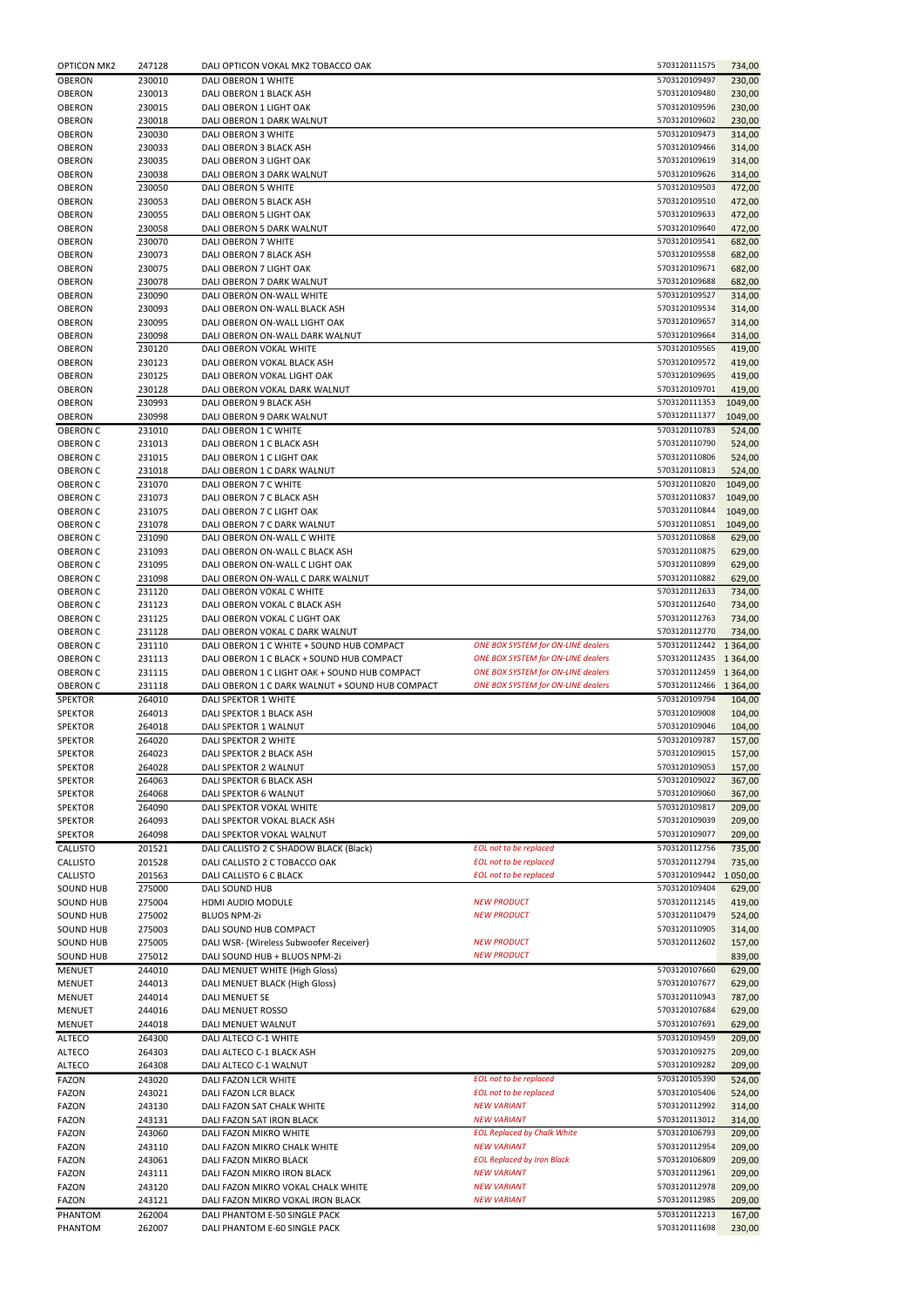| <b>OPTICON MK2</b> | 247128 | DALI OPTICON VOKAL MK2 TOBACCO OAK              |                                           | 5703120111575          | 734,00        |
|--------------------|--------|-------------------------------------------------|-------------------------------------------|------------------------|---------------|
| <b>OBERON</b>      | 230010 | DALI OBERON 1 WHITE                             |                                           | 5703120109497          | 230,00        |
| <b>OBERON</b>      | 230013 | DALI OBERON 1 BLACK ASH                         |                                           | 5703120109480          | 230,00        |
| <b>OBERON</b>      | 230015 | DALI OBERON 1 LIGHT OAK                         |                                           | 5703120109596          | 230,00        |
| <b>OBERON</b>      | 230018 | DALI OBERON 1 DARK WALNUT                       |                                           | 5703120109602          | 230,00        |
| <b>OBERON</b>      | 230030 | DALI OBERON 3 WHITE                             |                                           | 5703120109473          | 314,00        |
| OBERON             | 230033 | DALI OBERON 3 BLACK ASH                         |                                           | 5703120109466          | 314,00        |
| <b>OBERON</b>      | 230035 | DALI OBERON 3 LIGHT OAK                         |                                           | 5703120109619          | 314,00        |
| <b>OBERON</b>      | 230038 | DALI OBERON 3 DARK WALNUT                       |                                           |                        | 314,00        |
| <b>OBERON</b>      | 230050 | DALI OBERON 5 WHITE                             |                                           | 5703120109503          | 472,00        |
| <b>OBERON</b>      | 230053 | DALI OBERON 5 BLACK ASH                         |                                           | 5703120109510          | 472,00        |
| <b>OBERON</b>      | 230055 | DALI OBERON 5 LIGHT OAK                         |                                           | 5703120109633          | 472,00        |
| <b>OBERON</b>      | 230058 | DALI OBERON 5 DARK WALNUT                       |                                           | 5703120109640          | 472,00        |
| <b>OBERON</b>      | 230070 | DALI OBERON 7 WHITE                             |                                           | 5703120109541          | 682,00        |
| <b>OBERON</b>      | 230073 | DALI OBERON 7 BLACK ASH                         |                                           | 5703120109558          | 682,00        |
| <b>OBERON</b>      | 230075 | DALI OBERON 7 LIGHT OAK                         |                                           | 5703120109671          | 682,00        |
| <b>OBERON</b>      | 230078 | DALI OBERON 7 DARK WALNUT                       |                                           | 5703120109688          | 682,00        |
| <b>OBERON</b>      | 230090 | DALI OBERON ON-WALL WHITE                       |                                           | 5703120109527          | 314,00        |
| <b>OBERON</b>      | 230093 | DALI OBERON ON-WALL BLACK ASH                   |                                           | 5703120109534          | 314,00        |
| <b>OBERON</b>      | 230095 | DALI OBERON ON-WALL LIGHT OAK                   |                                           | 5703120109657          | 314,00        |
| <b>OBERON</b>      | 230098 | DALI OBERON ON-WALL DARK WALNUT                 |                                           | 5703120109664          | 314,00        |
| <b>OBERON</b>      | 230120 | DALI OBERON VOKAL WHITE                         |                                           | 5703120109565          | 419,00        |
| <b>OBERON</b>      | 230123 | DALI OBERON VOKAL BLACK ASH                     |                                           | 5703120109572          | 419,00        |
| <b>OBERON</b>      | 230125 | DALI OBERON VOKAL LIGHT OAK                     |                                           | 5703120109695          | 419,00        |
| <b>OBERON</b>      | 230128 | DALI OBERON VOKAL DARK WALNUT                   |                                           | 5703120109701          | 419,00        |
| <b>OBERON</b>      | 230993 | DALI OBERON 9 BLACK ASH                         |                                           | 5703120111353          | 1049,00       |
| <b>OBERON</b>      | 230998 | DALI OBERON 9 DARK WALNUT                       |                                           | 5703120111377          | 1049,00       |
| <b>OBERON C</b>    | 231010 | DALI OBERON 1 C WHITE                           |                                           | 5703120110783          | 524,00        |
| <b>OBERON C</b>    | 231013 | DALI OBERON 1 C BLACK ASH                       |                                           | 5703120110790          | 524,00        |
| <b>OBERON C</b>    | 231015 | DALI OBERON 1 C LIGHT OAK                       |                                           | 5703120110806          | 524,00        |
| <b>OBERON C</b>    | 231018 | DALI OBERON 1 C DARK WALNUT                     |                                           | 5703120110813          | 524,00        |
| <b>OBERON C</b>    | 231070 | DALI OBERON 7 C WHITE                           |                                           | 5703120110820          | 1049,00       |
| <b>OBERON C</b>    | 231073 | DALI OBERON 7 C BLACK ASH                       |                                           | 5703120110837          | 1049,00       |
| <b>OBERON C</b>    | 231075 | DALI OBERON 7 C LIGHT OAK                       |                                           | 5703120110844          | 1049,00       |
| <b>OBERON C</b>    | 231078 | DALI OBERON 7 C DARK WALNUT                     |                                           | 5703120110851          | 1049,00       |
| <b>OBERON C</b>    | 231090 | DALI OBERON ON-WALL C WHITE                     |                                           | 5703120110868          | 629,00        |
| <b>OBERON C</b>    | 231093 | DALI OBERON ON-WALL C BLACK ASH                 |                                           | 5703120110875          | 629,00        |
| <b>OBERON C</b>    | 231095 | DALI OBERON ON-WALL C LIGHT OAK                 |                                           | 5703120110899          | 629,00        |
| <b>OBERON C</b>    | 231098 | DALI OBERON ON-WALL C DARK WALNUT               |                                           | 5703120110882          | 629,00        |
| <b>OBERON C</b>    | 231120 | DALI OBERON VOKAL C WHITE                       |                                           | 5703120112633          | 734,00        |
| <b>OBERON C</b>    | 231123 | DALI OBERON VOKAL C BLACK ASH                   |                                           | 5703120112640          | 734,00        |
| <b>OBERON C</b>    | 231125 | DALI OBERON VOKAL C LIGHT OAK                   |                                           | 5703120112763          | 734,00        |
| <b>OBERON C</b>    | 231128 | DALI OBERON VOKAL C DARK WALNUT                 |                                           | 5703120112770          | 734,00        |
| <b>OBERON C</b>    | 231110 | DALI OBERON 1 C WHITE + SOUND HUB COMPACT       | <b>ONE BOX SYSTEM for ON-LINE dealers</b> | 5703120112442 1 364,00 |               |
| <b>OBERON C</b>    | 231113 | DALI OBERON 1 C BLACK + SOUND HUB COMPACT       | <b>ONE BOX SYSTEM for ON-LINE dealers</b> | 5703120112435 1 364,00 |               |
| <b>OBERON C</b>    | 231115 | DALI OBERON 1 C LIGHT OAK + SOUND HUB COMPACT   | <b>ONE BOX SYSTEM for ON-LINE dealers</b> | 5703120112459          | 1 3 6 4 , 0 0 |
| <b>OBERON C</b>    | 231118 | DALI OBERON 1 C DARK WALNUT + SOUND HUB COMPACT | <b>ONE BOX SYSTEM for ON-LINE dealers</b> | 5703120112466 1364,00  |               |
| <b>SPEKTOR</b>     | 264010 | DALI SPEKTOR 1 WHITE                            |                                           | 5703120109794          | 104,00        |
| <b>SPEKTOR</b>     | 264013 | DALI SPEKTOR 1 BLACK ASH                        |                                           | 5703120109008          | 104,00        |
| <b>SPEKTOR</b>     | 264018 | DALI SPEKTOR 1 WALNUT                           |                                           | 5703120109046          | 104,00        |
| <b>SPEKTOR</b>     | 264020 | DALI SPEKTOR 2 WHITE                            |                                           | 5703120109787          | 157,00        |
| <b>SPEKTOR</b>     | 264023 | DALI SPEKTOR 2 BLACK ASH                        |                                           | 5703120109015          | 157,00        |
| <b>SPEKTOR</b>     | 264028 | DALI SPEKTOR 2 WALNUT                           |                                           | 5703120109053          | 157,00        |
| <b>SPEKTOR</b>     | 264063 | DALI SPEKTOR 6 BLACK ASH                        |                                           | 5703120109022          | 367,00        |
| <b>SPEKTOR</b>     | 264068 | DALI SPEKTOR 6 WALNUT                           |                                           | 5703120109060          | 367,00        |
| <b>SPEKTOR</b>     | 264090 | DALI SPEKTOR VOKAL WHITE                        |                                           | 5703120109817          | 209,00        |
| <b>SPEKTOR</b>     | 264093 | DALI SPEKTOR VOKAL BLACK ASH                    |                                           | 5703120109039          | 209,00        |
| <b>SPEKTOR</b>     | 264098 | DALI SPEKTOR VOKAL WALNUT                       |                                           | 5703120109077          | 209,00        |
| <b>CALLISTO</b>    | 201521 | DALI CALLISTO 2 C SHADOW BLACK (Black)          | <b>EOL</b> not to be replaced             | 5703120112756          | 735,00        |
| <b>CALLISTO</b>    | 201528 | DALI CALLISTO 2 C TOBACCO OAK                   | <b>EOL</b> not to be replaced             | 5703120112794          | 735,00        |
| <b>CALLISTO</b>    | 201563 | DALI CALLISTO 6 C BLACK                         | <b>EOL</b> not to be replaced             | 5703120109442 1050,00  |               |
| <b>SOUND HUB</b>   | 275000 | DALI SOUND HUB                                  |                                           | 5703120109404          | 629,00        |
| <b>SOUND HUB</b>   | 275004 | HDMI AUDIO MODULE                               | <b>NEW PRODUCT</b>                        | 5703120112145          | 419,00        |
| SOUND HUB          | 275002 | <b>BLUOS NPM-2i</b>                             | <b>NEW PRODUCT</b>                        | 5703120110479          | 524,00        |
| SOUND HUB          | 275003 | DALI SOUND HUB COMPACT                          |                                           | 5703120110905          | 314,00        |
| SOUND HUB          | 275005 | DALI WSR- (Wireless Subwoofer Receiver)         | <b>NEW PRODUCT</b>                        | 5703120112602          | 157,00        |
| <b>SOUND HUB</b>   | 275012 | DALI SOUND HUB + BLUOS NPM-2i                   | <b>NEW PRODUCT</b>                        |                        | 839,00        |
| <b>MENUET</b>      | 244010 | DALI MENUET WHITE (High Gloss)                  |                                           | 5703120107660          | 629,00        |
| <b>MENUET</b>      | 244013 | DALI MENUET BLACK (High Gloss)                  |                                           | 5703120107677          | 629,00        |
| <b>MENUET</b>      | 244014 | DALI MENUET SE                                  |                                           | 5703120110943          | 787,00        |
| <b>MENUET</b>      | 244016 | DALI MENUET ROSSO                               |                                           | 5703120107684          | 629,00        |
| MENUET             | 244018 | DALI MENUET WALNUT                              |                                           | 5703120107691          | 629,00        |
| <b>ALTECO</b>      | 264300 | DALI ALTECO C-1 WHITE                           |                                           | 5703120109459          | 209,00        |
| <b>ALTECO</b>      | 264303 | DALI ALTECO C-1 BLACK ASH                       |                                           | 5703120109275          | 209,00        |
| <b>ALTECO</b>      | 264308 | DALI ALTECO C-1 WALNUT                          |                                           | 5703120109282          | 209,00        |
| <b>FAZON</b>       | 243020 | DALI FAZON LCR WHITE                            | <b>EOL</b> not to be replaced             | 5703120105390          | 524,00        |
| <b>FAZON</b>       | 243021 | <b>DALI FAZON LCR BLACK</b>                     | <b>EOL</b> not to be replaced             | 5703120105406          | 524,00        |
| FAZON              | 243130 | DALI FAZON SAT CHALK WHITE                      | <b>NEW VARIANT</b>                        | 5703120112992          | 314,00        |
| <b>FAZON</b>       | 243131 | DALI FAZON SAT IRON BLACK                       | <b>NEW VARIANT</b>                        | 5703120113012          | 314,00        |
| <b>FAZON</b>       | 243060 | DALI FAZON MIKRO WHITE                          | <b>EOL Replaced by Chalk White</b>        | 5703120106793          | 209,00        |
| FAZON              | 243110 | DALI FAZON MIKRO CHALK WHITE                    | <b>NEW VARIANT</b>                        | 5703120112954          | 209,00        |
| <b>FAZON</b>       | 243061 | DALI FAZON MIKRO BLACK                          | <b>EOL Replaced by Iron Black</b>         | 5703120106809          | 209,00        |
| <b>FAZON</b>       | 243111 | DALI FAZON MIKRO IRON BLACK                     | <b>NEW VARIANT</b>                        | 5703120112961          | 209,00        |
| FAZON              | 243120 | DALI FAZON MIKRO VOKAL CHALK WHITE              | <b>NEW VARIANT</b>                        | 5703120112978          | 209,00        |
| FAZON              | 243121 | DALI FAZON MIKRO VOKAL IRON BLACK               | <b>NEW VARIANT</b>                        | 5703120112985          | 209,00        |
| PHANTOM            | 262004 | DALI PHANTOM E-50 SINGLE PACK                   |                                           | 5703120112213          | 167,00        |
|                    |        |                                                 |                                           | 5703120111698          |               |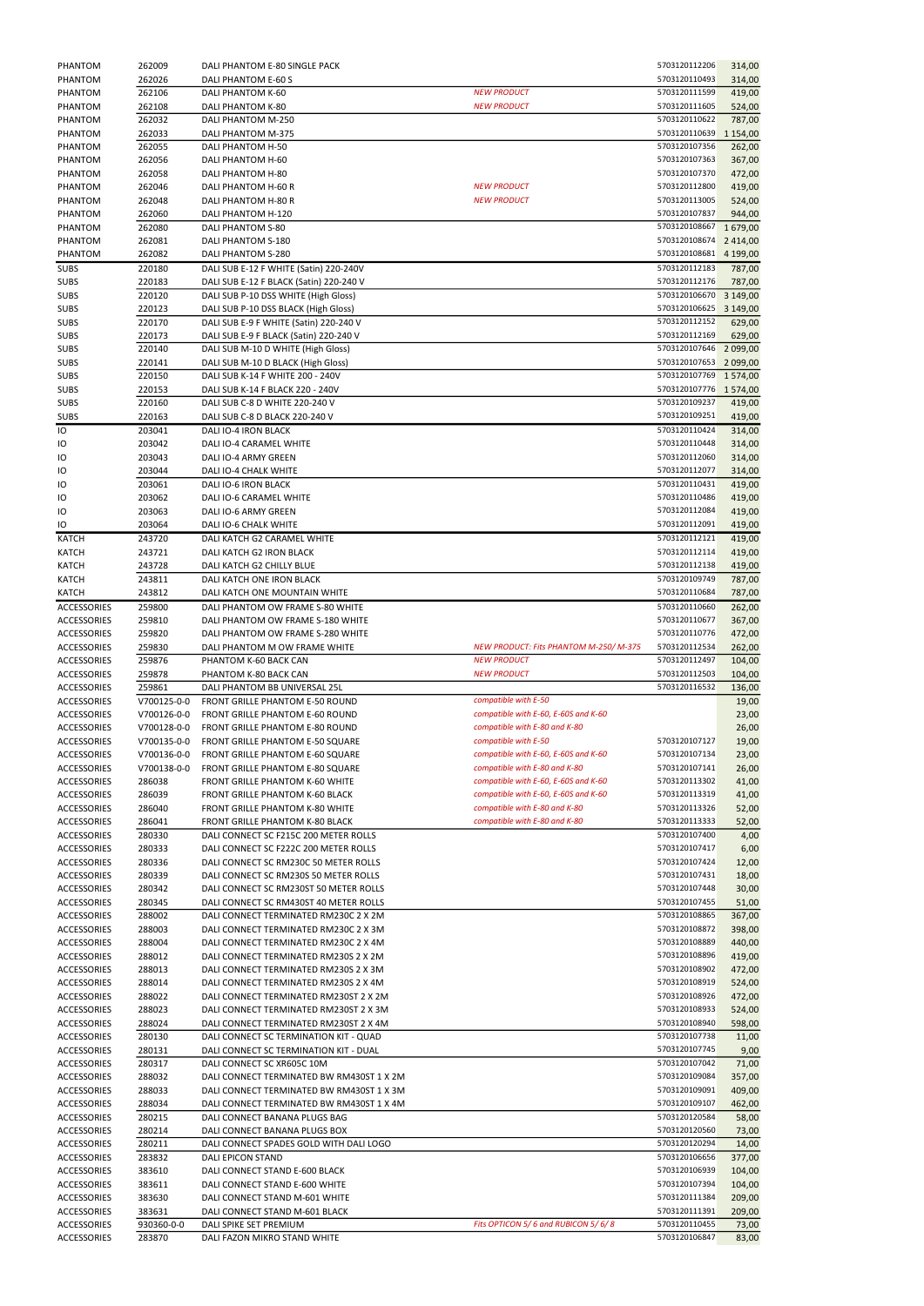| PHANTOM                                  | 262009           | DALI PHANTOM E-80 SINGLE PACK                                                    |                                                                       | 5703120112206                           | 314,00                  |
|------------------------------------------|------------------|----------------------------------------------------------------------------------|-----------------------------------------------------------------------|-----------------------------------------|-------------------------|
| PHANTOM                                  | 262026           | DALI PHANTOM E-60 S                                                              |                                                                       | 5703120110493                           | 314,00                  |
| PHANTOM                                  | 262106           | DALI PHANTOM K-60                                                                | <b>NEW PRODUCT</b>                                                    | 5703120111599                           | 419,00                  |
| PHANTOM                                  | 262108           | DALI PHANTOM K-80                                                                | <b>NEW PRODUCT</b>                                                    | 5703120111605                           | 524,00                  |
| PHANTOM                                  | 262032           | DALI PHANTOM M-250                                                               |                                                                       | 5703120110622                           | 787,00                  |
| PHANTOM<br>PHANTOM                       | 262033<br>262055 | DALI PHANTOM M-375<br>DALI PHANTOM H-50                                          |                                                                       | 5703120110639<br>5703120107356          | 1 1 5 4 , 0 0<br>262,00 |
| PHANTOM                                  | 262056           | DALI PHANTOM H-60                                                                |                                                                       | 5703120107363                           | 367,00                  |
| PHANTOM                                  | 262058           | DALI PHANTOM H-80                                                                |                                                                       | 5703120107370                           | 472,00                  |
| PHANTOM                                  | 262046           | DALI PHANTOM H-60 R                                                              | <b>NEW PRODUCT</b>                                                    | 5703120112800                           | 419,00                  |
| PHANTOM                                  | 262048           | DALI PHANTOM H-80 R                                                              | <b>NEW PRODUCT</b>                                                    | 5703120113005                           | 524,00                  |
| PHANTOM                                  | 262060           | DALI PHANTOM H-120                                                               |                                                                       | 5703120107837                           | 944,00                  |
| PHANTOM                                  | 262080           | DALI PHANTOM S-80                                                                |                                                                       | 5703120108667                           | 1679,00                 |
| PHANTOM<br>PHANTOM                       | 262081<br>262082 | DALI PHANTOM S-180<br>DALI PHANTOM S-280                                         |                                                                       | 5703120108674<br>5703120108681          | 2 4 1 4 , 0 0           |
| <b>SUBS</b>                              | 220180           | DALI SUB E-12 F WHITE (Satin) 220-240V                                           |                                                                       | 5703120112183                           | 4 199,00<br>787,00      |
| <b>SUBS</b>                              | 220183           | DALI SUB E-12 F BLACK (Satin) 220-240 V                                          |                                                                       | 5703120112176                           | 787,00                  |
| <b>SUBS</b>                              | 220120           | DALI SUB P-10 DSS WHITE (High Gloss)                                             |                                                                       | 5703120106670                           | 3 149,00                |
| <b>SUBS</b>                              | 220123           | DALI SUB P-10 DSS BLACK (High Gloss)                                             |                                                                       | 5703120106625                           | 3 149,00                |
| <b>SUBS</b>                              | 220170           | DALI SUB E-9 F WHITE (Satin) 220-240 V                                           |                                                                       | 5703120112152                           | 629,00                  |
| <b>SUBS</b>                              | 220173           | DALI SUB E-9 F BLACK (Satin) 220-240 V                                           |                                                                       | 5703120112169                           | 629,00                  |
| <b>SUBS</b>                              | 220140           | DALI SUB M-10 D WHITE (High Gloss)                                               |                                                                       | 5703120107646                           | 2 099,00                |
| <b>SUBS</b>                              | 220141           | DALI SUB M-10 D BLACK (High Gloss)                                               |                                                                       | 5703120107653 2099,00                   |                         |
| <b>SUBS</b><br><b>SUBS</b>               | 220150<br>220153 | DALI SUB K-14 F WHITE 200 - 240V<br>DALI SUB K-14 F BLACK 220 - 240V             |                                                                       | 5703120107769 1 574,00<br>5703120107776 | 1 5 7 4 ,00             |
| <b>SUBS</b>                              | 220160           | DALI SUB C-8 D WHITE 220-240 V                                                   |                                                                       | 5703120109237                           | 419,00                  |
| <b>SUBS</b>                              | 220163           | DALI SUB C-8 D BLACK 220-240 V                                                   |                                                                       | 5703120109251                           | 419,00                  |
| Ю                                        | 203041           | DALI IO-4 IRON BLACK                                                             |                                                                       | 5703120110424                           | 314,00                  |
| IО                                       | 203042           | DALI IO-4 CARAMEL WHITE                                                          |                                                                       | 5703120110448                           | 314,00                  |
| IО                                       | 203043           | DALI IO-4 ARMY GREEN                                                             |                                                                       | 5703120112060                           | 314,00                  |
| IО                                       | 203044           | DALI IO-4 CHALK WHITE                                                            |                                                                       | 5703120112077                           | 314,00                  |
| IО                                       | 203061           | <b>DALI IO-6 IRON BLACK</b>                                                      |                                                                       | 5703120110431                           | 419,00                  |
| IО                                       | 203062           | DALI IO-6 CARAMEL WHITE                                                          |                                                                       | 5703120110486                           | 419,00                  |
| IО<br>IО                                 | 203063<br>203064 | DALI IO-6 ARMY GREEN<br>DALI IO-6 CHALK WHITE                                    |                                                                       | 5703120112084<br>5703120112091          | 419,00<br>419,00        |
| <b>KATCH</b>                             | 243720           | DALI KATCH G2 CARAMEL WHITE                                                      |                                                                       | 5703120112121                           | 419,00                  |
| KATCH                                    | 243721           | DALI KATCH G2 IRON BLACK                                                         |                                                                       | 5703120112114                           | 419,00                  |
| <b>KATCH</b>                             | 243728           | DALI KATCH G2 CHILLY BLUE                                                        |                                                                       | 5703120112138                           | 419,00                  |
| <b>KATCH</b>                             | 243811           | DALI KATCH ONE IRON BLACK                                                        |                                                                       | 5703120109749                           | 787,00                  |
| <b>KATCH</b>                             | 243812           | DALI KATCH ONE MOUNTAIN WHITE                                                    |                                                                       | 5703120110684                           | 787,00                  |
| <b>ACCESSORIES</b>                       | 259800           | DALI PHANTOM OW FRAME S-80 WHITE                                                 |                                                                       | 5703120110660                           | 262,00                  |
| ACCESSORIES                              | 259810           | DALI PHANTOM OW FRAME S-180 WHITE                                                |                                                                       | 5703120110677                           | 367,00                  |
| <b>ACCESSORIES</b>                       | 259820           | DALI PHANTOM OW FRAME S-280 WHITE                                                |                                                                       | 5703120110776                           | 472,00                  |
|                                          |                  |                                                                                  |                                                                       |                                         |                         |
| <b>ACCESSORIES</b>                       | 259830           | DALI PHANTOM M OW FRAME WHITE                                                    | NEW PRODUCT: Fits PHANTOM M-250/M-375                                 | 5703120112534                           | 262,00                  |
| <b>ACCESSORIES</b>                       | 259876           | PHANTOM K-60 BACK CAN                                                            | <b>NEW PRODUCT</b><br><b>NEW PRODUCT</b>                              | 5703120112497<br>5703120112503          | 104,00                  |
| <b>ACCESSORIES</b><br><b>ACCESSORIES</b> | 259878<br>259861 | PHANTOM K-80 BACK CAN<br>DALI PHANTOM BB UNIVERSAL 25L                           |                                                                       | 5703120116532                           | 104,00<br>136,00        |
| <b>ACCESSORIES</b>                       | V700125-0-0      | FRONT GRILLE PHANTOM E-50 ROUND                                                  | compatible with E-50                                                  |                                         | 19,00                   |
| <b>ACCESSORIES</b>                       | V700126-0-0      | FRONT GRILLE PHANTOM E-60 ROUND                                                  | compatible with E-60, E-60S and K-60                                  |                                         | 23,00                   |
| <b>ACCESSORIES</b>                       | V700128-0-0      | <b>FRONT GRILLE PHANTOM E-80 ROUND</b>                                           | compatible with E-80 and K-80                                         |                                         | 26,00                   |
| <b>ACCESSORIES</b>                       | V700135-0-0      | <b>FRONT GRILLE PHANTOM E-50 SQUARE</b>                                          | compatible with E-50                                                  | 5703120107127                           | 19,00                   |
| <b>ACCESSORIES</b>                       | V700136-0-0      | FRONT GRILLE PHANTOM E-60 SQUARE                                                 | compatible with E-60, E-60S and K-60                                  | 5703120107134                           | 23,00                   |
| <b>ACCESSORIES</b>                       | V700138-0-0      | <b>FRONT GRILLE PHANTOM E-80 SQUARE</b>                                          | compatible with E-80 and K-80                                         | 5703120107141                           | 26,00                   |
| <b>ACCESSORIES</b>                       | 286038           | FRONT GRILLE PHANTOM K-60 WHITE                                                  | compatible with E-60, E-60S and K-60                                  | 5703120113302                           | 41,00                   |
| <b>ACCESSORIES</b><br><b>ACCESSORIES</b> | 286039<br>286040 | <b>FRONT GRILLE PHANTOM K-60 BLACK</b><br><b>FRONT GRILLE PHANTOM K-80 WHITE</b> | compatible with E-60, E-60S and K-60<br>compatible with E-80 and K-80 | 5703120113319<br>5703120113326          | 41,00                   |
| <b>ACCESSORIES</b>                       | 286041           | <b>FRONT GRILLE PHANTOM K-80 BLACK</b>                                           | compatible with E-80 and K-80                                         | 5703120113333                           | 52,00<br>52,00          |
| <b>ACCESSORIES</b>                       | 280330           | DALI CONNECT SC F215C 200 METER ROLLS                                            |                                                                       | 5703120107400                           | 4,00                    |
| <b>ACCESSORIES</b>                       | 280333           | DALI CONNECT SC F222C 200 METER ROLLS                                            |                                                                       | 5703120107417                           | 6,00                    |
| <b>ACCESSORIES</b>                       | 280336           | DALI CONNECT SC RM230C 50 METER ROLLS                                            |                                                                       | 5703120107424                           | 12,00                   |
| <b>ACCESSORIES</b>                       | 280339           | DALI CONNECT SC RM230S 50 METER ROLLS                                            |                                                                       | 5703120107431                           | 18,00                   |
| ACCESSORIES                              | 280342           | DALI CONNECT SC RM230ST 50 METER ROLLS                                           |                                                                       | 5703120107448                           | 30,00                   |
| <b>ACCESSORIES</b>                       | 280345           | DALI CONNECT SC RM430ST 40 METER ROLLS                                           |                                                                       | 5703120107455                           | 51,00                   |
| <b>ACCESSORIES</b><br><b>ACCESSORIES</b> | 288002<br>288003 | DALI CONNECT TERMINATED RM230C 2 X 2M<br>DALI CONNECT TERMINATED RM230C 2 X 3M   |                                                                       | 5703120108865<br>5703120108872          | 367,00                  |
| <b>ACCESSORIES</b>                       | 288004           | DALI CONNECT TERMINATED RM230C 2 X 4M                                            |                                                                       | 5703120108889                           | 398,00<br>440,00        |
| ACCESSORIES                              | 288012           | DALI CONNECT TERMINATED RM230S 2 X 2M                                            |                                                                       | 5703120108896                           | 419,00                  |
| ACCESSORIES                              | 288013           | DALI CONNECT TERMINATED RM230S 2 X 3M                                            |                                                                       | 5703120108902                           | 472,00                  |
| <b>ACCESSORIES</b>                       | 288014           | DALI CONNECT TERMINATED RM230S 2 X 4M                                            |                                                                       | 5703120108919                           | 524,00                  |
| <b>ACCESSORIES</b>                       | 288022           | DALI CONNECT TERMINATED RM230ST 2 X 2M                                           |                                                                       | 5703120108926                           | 472,00                  |
| <b>ACCESSORIES</b>                       | 288023           | DALI CONNECT TERMINATED RM230ST 2 X 3M                                           |                                                                       | 5703120108933                           | 524,00                  |
| <b>ACCESSORIES</b>                       | 288024           | DALI CONNECT TERMINATED RM230ST 2 X 4M                                           |                                                                       | 5703120108940                           | 598,00                  |
| ACCESSORIES                              | 280130           | DALI CONNECT SC TERMINATION KIT - QUAD                                           |                                                                       | 5703120107738                           | 11,00                   |
| ACCESSORIES                              | 280131           | DALI CONNECT SC TERMINATION KIT - DUAL                                           |                                                                       | 5703120107745                           | 9,00                    |
| <b>ACCESSORIES</b><br><b>ACCESSORIES</b> | 280317<br>288032 | DALI CONNECT SC XR605C 10M<br>DALI CONNECT TERMINATED BW RM430ST 1 X 2M          |                                                                       | 5703120107042<br>5703120109084          | 71,00                   |
| <b>ACCESSORIES</b>                       | 288033           | DALI CONNECT TERMINATED BW RM430ST 1 X 3M                                        |                                                                       | 5703120109091                           | 357,00<br>409,00        |
| <b>ACCESSORIES</b>                       | 288034           | DALI CONNECT TERMINATED BW RM430ST 1 X 4M                                        |                                                                       | 5703120109107                           | 462,00                  |
| <b>ACCESSORIES</b>                       | 280215           | DALI CONNECT BANANA PLUGS BAG                                                    |                                                                       | 5703120120584                           | 58,00                   |
| ACCESSORIES                              | 280214           | DALI CONNECT BANANA PLUGS BOX                                                    |                                                                       | 5703120120560                           | 73,00                   |
| <b>ACCESSORIES</b>                       | 280211           | DALI CONNECT SPADES GOLD WITH DALI LOGO                                          |                                                                       | 5703120120294                           | 14,00                   |
| <b>ACCESSORIES</b>                       | 283832           | DALI EPICON STAND                                                                |                                                                       | 5703120106656                           | 377,00                  |
| <b>ACCESSORIES</b>                       | 383610           | DALI CONNECT STAND E-600 BLACK                                                   |                                                                       | 5703120106939                           | 104,00                  |
| <b>ACCESSORIES</b>                       | 383611           | DALI CONNECT STAND E-600 WHITE                                                   |                                                                       | 5703120107394<br>5703120111384          | 104,00                  |
| ACCESSORIES<br>ACCESSORIES               | 383630<br>383631 | DALI CONNECT STAND M-601 WHITE<br>DALI CONNECT STAND M-601 BLACK                 |                                                                       | 5703120111391                           | 209,00<br>209,00        |
| <b>ACCESSORIES</b>                       | 930360-0-0       | DALI SPIKE SET PREMIUM                                                           | Fits OPTICON 5/6 and RUBICON 5/6/8                                    | 5703120110455                           | 73,00                   |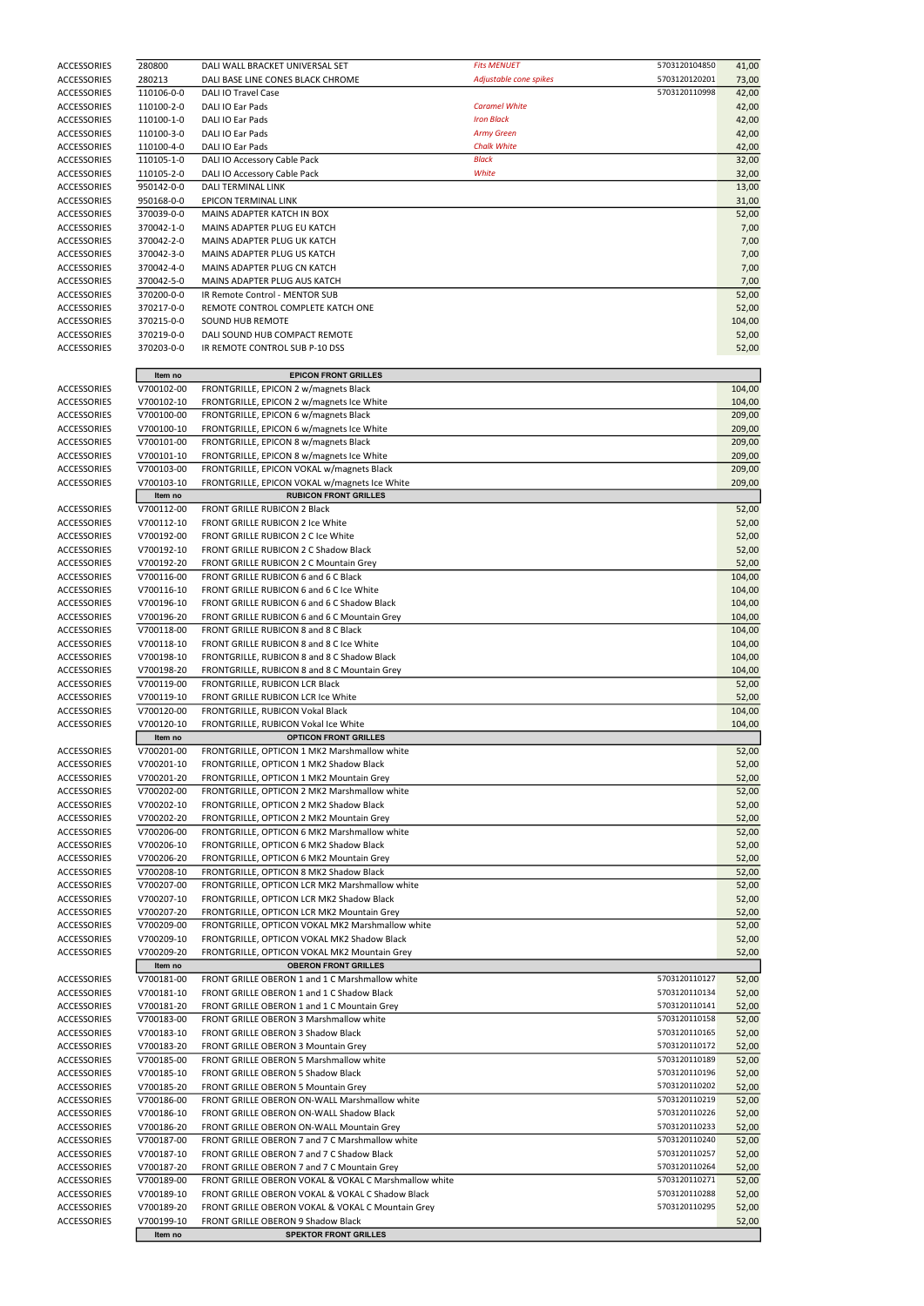| <b>ACCESSORIES</b> | 280800     | DALI WALL BRACKET UNIVERSAL SET                              | <b>Fits MENUET</b>     | 5703120104850 | 41,00  |
|--------------------|------------|--------------------------------------------------------------|------------------------|---------------|--------|
| <b>ACCESSORIES</b> | 280213     | DALI BASE LINE CONES BLACK CHROME                            | Adjustable cone spikes | 5703120120201 | 73,00  |
| <b>ACCESSORIES</b> | 110106-0-0 | <b>DALI IO Travel Case</b>                                   |                        | 5703120110998 | 42,00  |
| <b>ACCESSORIES</b> | 110100-2-0 | DALI IO Ear Pads                                             | <b>Caramel White</b>   |               | 42,00  |
| <b>ACCESSORIES</b> | 110100-1-0 | DALI IO Ear Pads                                             | <b>Iron Black</b>      |               | 42,00  |
| <b>ACCESSORIES</b> | 110100-3-0 | DALI IO Ear Pads                                             | <b>Army Green</b>      |               | 42,00  |
| <b>ACCESSORIES</b> | 110100-4-0 | DALI IO Ear Pads                                             | <b>Chalk White</b>     |               | 42,00  |
| <b>ACCESSORIES</b> | 110105-1-0 | DALI IO Accessory Cable Pack                                 | <b>Black</b>           |               | 32,00  |
| <b>ACCESSORIES</b> | 110105-2-0 | DALI IO Accessory Cable Pack                                 | White                  |               | 32,00  |
| <b>ACCESSORIES</b> | 950142-0-0 | DALI TERMINAL LINK                                           |                        |               | 13,00  |
| <b>ACCESSORIES</b> | 950168-0-0 | EPICON TERMINAL LINK                                         |                        |               |        |
|                    |            |                                                              |                        |               | 31,00  |
| <b>ACCESSORIES</b> | 370039-0-0 | MAINS ADAPTER KATCH IN BOX                                   |                        |               | 52,00  |
| <b>ACCESSORIES</b> | 370042-1-0 | MAINS ADAPTER PLUG EU KATCH                                  |                        |               | 7,00   |
| <b>ACCESSORIES</b> | 370042-2-0 | MAINS ADAPTER PLUG UK KATCH                                  |                        |               | 7,00   |
| ACCESSORIES        | 370042-3-0 | MAINS ADAPTER PLUG US KATCH                                  |                        |               | 7,00   |
| <b>ACCESSORIES</b> | 370042-4-0 | MAINS ADAPTER PLUG CN KATCH                                  |                        |               | 7,00   |
| <b>ACCESSORIES</b> | 370042-5-0 | MAINS ADAPTER PLUG AUS KATCH                                 |                        |               | 7,00   |
| <b>ACCESSORIES</b> | 370200-0-0 | IR Remote Control - MENTOR SUB                               |                        |               | 52,00  |
| <b>ACCESSORIES</b> | 370217-0-0 | REMOTE CONTROL COMPLETE KATCH ONE                            |                        |               | 52,00  |
| <b>ACCESSORIES</b> | 370215-0-0 | <b>SOUND HUB REMOTE</b>                                      |                        |               | 104,00 |
| ACCESSORIES        | 370219-0-0 | DALI SOUND HUB COMPACT REMOTE                                |                        |               | 52,00  |
| <b>ACCESSORIES</b> | 370203-0-0 | IR REMOTE CONTROL SUB P-10 DSS                               |                        |               | 52,00  |
|                    |            |                                                              |                        |               |        |
|                    | Item no    | <b>EPICON FRONT GRILLES</b>                                  |                        |               |        |
| <b>ACCESSORIES</b> | V700102-00 | FRONTGRILLE, EPICON 2 w/magnets Black                        |                        |               | 104,00 |
| <b>ACCESSORIES</b> | V700102-10 | FRONTGRILLE, EPICON 2 w/magnets Ice White                    |                        |               | 104,00 |
|                    |            |                                                              |                        |               |        |
| <b>ACCESSORIES</b> | V700100-00 | FRONTGRILLE, EPICON 6 w/magnets Black                        |                        |               | 209,00 |
| <b>ACCESSORIES</b> | V700100-10 | FRONTGRILLE, EPICON 6 w/magnets Ice White                    |                        |               | 209,00 |
| <b>ACCESSORIES</b> | V700101-00 | FRONTGRILLE, EPICON 8 w/magnets Black                        |                        |               | 209,00 |
| <b>ACCESSORIES</b> | V700101-10 | FRONTGRILLE, EPICON 8 w/magnets Ice White                    |                        |               | 209,00 |
| <b>ACCESSORIES</b> | V700103-00 | FRONTGRILLE, EPICON VOKAL w/magnets Black                    |                        |               | 209,00 |
| <b>ACCESSORIES</b> | V700103-10 | FRONTGRILLE, EPICON VOKAL w/magnets Ice White                |                        |               | 209,00 |
|                    | Item no    | <b>RUBICON FRONT GRILLES</b>                                 |                        |               |        |
| <b>ACCESSORIES</b> | V700112-00 | FRONT GRILLE RUBICON 2 Black                                 |                        |               | 52,00  |
| <b>ACCESSORIES</b> | V700112-10 | FRONT GRILLE RUBICON 2 Ice White                             |                        |               | 52,00  |
| <b>ACCESSORIES</b> | V700192-00 | FRONT GRILLE RUBICON 2 C Ice White                           |                        |               | 52,00  |
| ACCESSORIES        | V700192-10 | <b>FRONT GRILLE RUBICON 2 C Shadow Black</b>                 |                        |               | 52,00  |
| ACCESSORIES        | V700192-20 | <b>FRONT GRILLE RUBICON 2 C Mountain Grey</b>                |                        |               | 52,00  |
|                    |            |                                                              |                        |               |        |
| <b>ACCESSORIES</b> | V700116-00 | FRONT GRILLE RUBICON 6 and 6 C Black                         |                        |               | 104,00 |
| ACCESSORIES        | V700116-10 | FRONT GRILLE RUBICON 6 and 6 C Ice White                     |                        |               | 104,00 |
| ACCESSORIES        | V700196-10 | FRONT GRILLE RUBICON 6 and 6 C Shadow Black                  |                        |               | 104,00 |
| <b>ACCESSORIES</b> | V700196-20 | <b>FRONT GRILLE RUBICON 6 and 6 C Mountain Grey</b>          |                        |               | 104,00 |
| ACCESSORIES        | V700118-00 | FRONT GRILLE RUBICON 8 and 8 C Black                         |                        |               | 104,00 |
| ACCESSORIES        | V700118-10 | <b>FRONT GRILLE RUBICON 8 and 8 C Ice White</b>              |                        |               | 104,00 |
| ACCESSORIES        | V700198-10 | FRONTGRILLE, RUBICON 8 and 8 C Shadow Black                  |                        |               | 104,00 |
| ACCESSORIES        | V700198-20 | FRONTGRILLE, RUBICON 8 and 8 C Mountain Grey                 |                        |               | 104,00 |
| ACCESSORIES        | V700119-00 | FRONTGRILLE, RUBICON LCR Black                               |                        |               |        |
|                    |            |                                                              |                        |               | 52,00  |
| ACCESSORIES        | V700119-10 | FRONT GRILLE RUBICON LCR Ice White                           |                        |               | 52,00  |
| ACCESSORIES        | V700120-00 | FRONTGRILLE, RUBICON Vokal Black                             |                        |               | 104,00 |
| ACCESSORIES        | V700120-10 | FRONTGRILLE, RUBICON Vokal Ice White                         |                        |               | 104,00 |
|                    | Item no    | <b>OPTICON FRONT GRILLES</b>                                 |                        |               |        |
| ACCESSORIES        | V700201-00 | FRONTGRILLE, OPTICON 1 MK2 Marshmallow white                 |                        |               | 52,00  |
| ACCESSORIES        | V700201-10 | FRONTGRILLE, OPTICON 1 MK2 Shadow Black                      |                        |               | 52,00  |
| ACCESSORIES        | V700201-20 | FRONTGRILLE, OPTICON 1 MK2 Mountain Grey                     |                        |               | 52,00  |
| ACCESSORIES        | V700202-00 | FRONTGRILLE, OPTICON 2 MK2 Marshmallow white                 |                        |               | 52,00  |
| <b>ACCESSORIES</b> | V700202-10 | FRONTGRILLE, OPTICON 2 MK2 Shadow Black                      |                        |               | 52,00  |
| ACCESSORIES        | V700202-20 | FRONTGRILLE, OPTICON 2 MK2 Mountain Grey                     |                        |               | 52,00  |
| <b>ACCESSORIES</b> | V700206-00 | FRONTGRILLE, OPTICON 6 MK2 Marshmallow white                 |                        |               | 52,00  |
| <b>ACCESSORIES</b> | V700206-10 | FRONTGRILLE, OPTICON 6 MK2 Shadow Black                      |                        |               | 52,00  |
| ACCESSORIES        | V700206-20 | FRONTGRILLE, OPTICON 6 MK2 Mountain Grey                     |                        |               | 52,00  |
| ACCESSORIES        | V700208-10 | FRONTGRILLE, OPTICON 8 MK2 Shadow Black                      |                        |               | 52,00  |
| <b>ACCESSORIES</b> | V700207-00 | FRONTGRILLE, OPTICON LCR MK2 Marshmallow white               |                        |               | 52,00  |
| ACCESSORIES        | V700207-10 | FRONTGRILLE, OPTICON LCR MK2 Shadow Black                    |                        |               | 52,00  |
| <b>ACCESSORIES</b> |            |                                                              |                        |               |        |
|                    | V700207-20 | FRONTGRILLE, OPTICON LCR MK2 Mountain Grey                   |                        |               | 52,00  |
| ACCESSORIES        | V700209-00 | FRONTGRILLE, OPTICON VOKAL MK2 Marshmallow white             |                        |               | 52,00  |
| ACCESSORIES        | V700209-10 | FRONTGRILLE, OPTICON VOKAL MK2 Shadow Black                  |                        |               | 52,00  |
| ACCESSORIES        | V700209-20 | FRONTGRILLE, OPTICON VOKAL MK2 Mountain Grey                 |                        |               | 52,00  |
|                    | Item no    | <b>OBERON FRONT GRILLES</b>                                  |                        |               |        |
| ACCESSORIES        | V700181-00 | FRONT GRILLE OBERON 1 and 1 C Marshmallow white              |                        | 5703120110127 | 52,00  |
| <b>ACCESSORIES</b> | V700181-10 | FRONT GRILLE OBERON 1 and 1 C Shadow Black                   |                        | 5703120110134 | 52,00  |
| ACCESSORIES        | V700181-20 | FRONT GRILLE OBERON 1 and 1 C Mountain Grey                  |                        | 5703120110141 | 52,00  |
| ACCESSORIES        | V700183-00 | FRONT GRILLE OBERON 3 Marshmallow white                      |                        | 5703120110158 | 52,00  |
| ACCESSORIES        | V700183-10 | <b>FRONT GRILLE OBERON 3 Shadow Black</b>                    |                        | 5703120110165 | 52,00  |
| ACCESSORIES        | V700183-20 | <b>FRONT GRILLE OBERON 3 Mountain Grey</b>                   |                        | 5703120110172 | 52,00  |
| ACCESSORIES        | V700185-00 | <b>FRONT GRILLE OBERON 5 Marshmallow white</b>               |                        | 5703120110189 | 52,00  |
| <b>ACCESSORIES</b> | V700185-10 | FRONT GRILLE OBERON 5 Shadow Black                           |                        | 5703120110196 | 52,00  |
| ACCESSORIES        | V700185-20 | <b>FRONT GRILLE OBERON 5 Mountain Grey</b>                   |                        | 5703120110202 | 52,00  |
| <b>ACCESSORIES</b> | V700186-00 | FRONT GRILLE OBERON ON-WALL Marshmallow white                |                        | 5703120110219 | 52,00  |
| <b>ACCESSORIES</b> | V700186-10 | FRONT GRILLE OBERON ON-WALL Shadow Black                     |                        | 5703120110226 | 52,00  |
|                    |            |                                                              |                        |               |        |
| <b>ACCESSORIES</b> | V700186-20 | FRONT GRILLE OBERON ON-WALL Mountain Grey                    |                        | 5703120110233 | 52,00  |
| <b>ACCESSORIES</b> | V700187-00 | FRONT GRILLE OBERON 7 and 7 C Marshmallow white              |                        | 5703120110240 | 52,00  |
| <b>ACCESSORIES</b> | V700187-10 | FRONT GRILLE OBERON 7 and 7 C Shadow Black                   |                        | 5703120110257 | 52,00  |
| ACCESSORIES        | V700187-20 | FRONT GRILLE OBERON 7 and 7 C Mountain Grey                  |                        | 5703120110264 | 52,00  |
| <b>ACCESSORIES</b> | V700189-00 | FRONT GRILLE OBERON VOKAL & VOKAL C Marshmallow white        |                        | 5703120110271 | 52,00  |
| ACCESSORIES        | V700189-10 | FRONT GRILLE OBERON VOKAL & VOKAL C Shadow Black             |                        | 5703120110288 | 52,00  |
| ACCESSORIES        | V700189-20 | <b>FRONT GRILLE OBERON VOKAL &amp; VOKAL C Mountain Grey</b> |                        | 5703120110295 | 52,00  |
| <b>ACCESSORIES</b> | V700199-10 | FRONT GRILLE OBERON 9 Shadow Black                           |                        |               | 52,00  |
|                    | Item no    | <b>SPEKTOR FRONT GRILLES</b>                                 |                        |               |        |